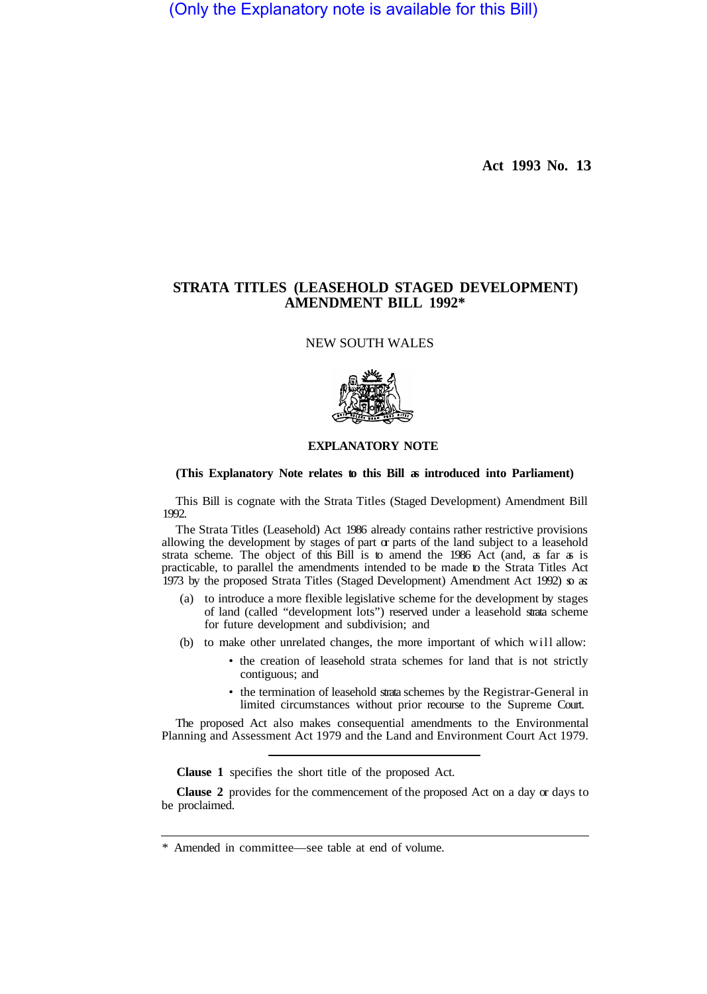(Only the Explanatory note is available for this Bill)

**Act 1993 No. 13** 

# **STRATA TITLES (LEASEHOLD STAGED DEVELOPMENT) AMENDMENT BILL 1992\***

NEW SOUTH WALES



# **EXPLANATORY NOTE**

# **(This Explanatory Note relates to this Bill as introduced into Parliament)**

This Bill is cognate with the Strata Titles (Staged Development) Amendment Bill 1992.

The Strata Titles (Leasehold) Act 1986 already contains rather restrictive provisions allowing the development by stages of part  $\alpha$  parts of the land subject to a leasehold strata scheme. The object of this Bill is to amend the 1986 Act (and, as far as is practicable, to parallel the amendments intended to be made to the Strata Titles Act 1973 by the proposed Strata Titles (Staged Development) Amendment Act 1992) so as:

- (a) to introduce a more flexible legislative scheme for the development by stages of land (called "development lots") reserved under a leasehold strata scheme for future development and subdivision; and
- (b) to make other unrelated changes, the more important of which will allow:
	- the creation of leasehold strata schemes for land that is not strictly contiguous; and
	- the termination of leasehold strata schemes by the Registrar-General in limited circumstances without prior recourse to the Supreme Court.

The proposed Act also makes consequential amendments to the Environmental Planning and Assessment Act 1979 and the Land and Environment Court Act 1979.

**Clause 1** specifies the short title of the proposed Act.

**Clause 2** provides for the commencement of the proposed Act on a day or days to be proclaimed.

<sup>\*</sup> Amended in committee—see table at end of volume.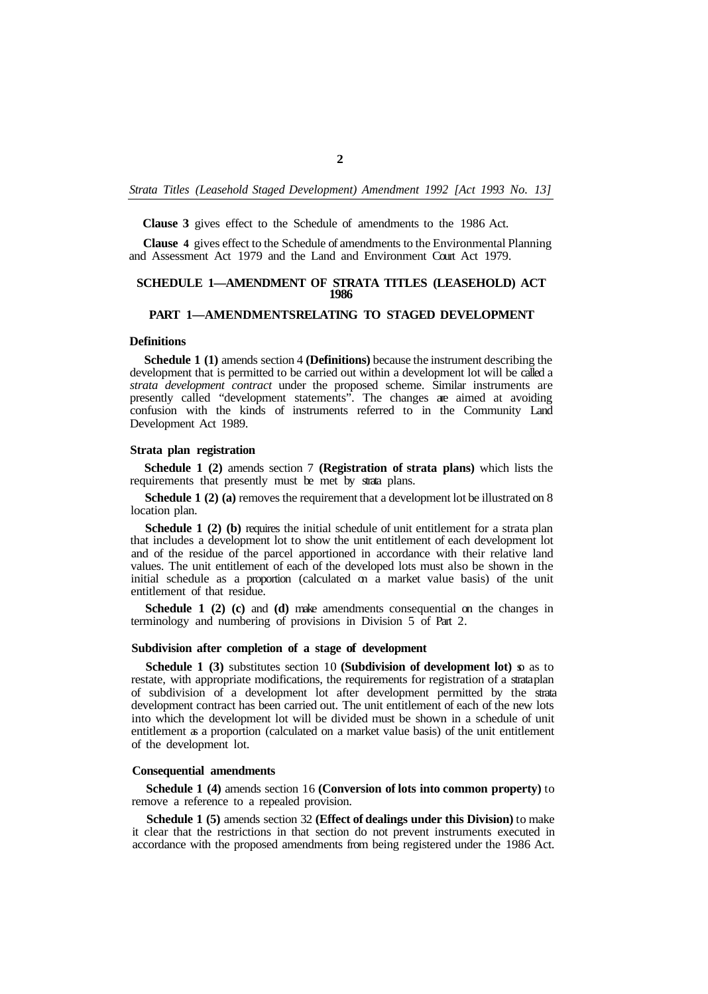**Clause 3** gives effect to the Schedule of amendments to the 1986 Act.

**Clause 4** gives effect to the Schedule of amendments to the Environmental Planning and Assessment Act 1979 and the Land and Environment Court Act 1979.

# **SCHEDULE 1—AMENDMENT OF STRATA TITLES (LEASEHOLD) ACT 1986**

# **PART 1-AMENDMENTSRELATING TO STAGED DEVELOPMENT**

# **Definitions**

**Schedule 1 (1)** amends section 4 **(Definitions)** because the instrument describing the development that is permitted to be carried out within a development lot will be called a *strata development contract* under the proposed scheme. Similar instruments are presently called "development statements". The changes are aimed at avoiding confusion with the kinds of instruments referred to in the Community Land Development Act 1989.

#### **Strata plan registration**

**Schedule 1 (2)** amends section 7 **(Registration of strata plans)** which lists the requirements that presently must be met by strata plans.

**Schedule 1 (2) (a)** removes the requirement that a development lot be illustrated on 8 location plan.

**Schedule 1 (2) (b)** requires the initial schedule of unit entitlement for a strata plan that includes a development lot to show the unit entitlement of each development lot and of the residue of the parcel apportioned in accordance with their relative land values. The unit entitlement of each of the developed lots must also be shown in the initial schedule as a proportion (calculated on a market value basis) of the unit entitlement of that residue.

**Schedule 1 (2) (c)** and **(d)** make amendments consequential on the changes in terminology and numbering of provisions in Division 5 of Part 2.

# **Subdivision after completion of a stage of development**

**Schedule 1 (3)** substitutes section 10 **(Subdivision of development lot)** so as to restate, with appropriate modifications, the requirements for registration of a strataplan of subdivision of a development lot after development permitted by the strata development contract has been carried out. The unit entitlement of each of the new lots into which the development lot will be divided must be shown in a schedule of unit entitlement as a proportion (calculated on a market value basis) of the unit entitlement of the development lot.

### **Consequential amendments**

**Schedule 1 (4)** amends section 16 **(Conversion of lots into common property)** to remove a reference to a repealed provision.

**Schedule 1 (5)** amends section 32 **(Effect of dealings under this Division)** to make it clear that the restrictions in that section do not prevent instruments executed in accordance with the proposed amendments from being registered under the 1986 Act.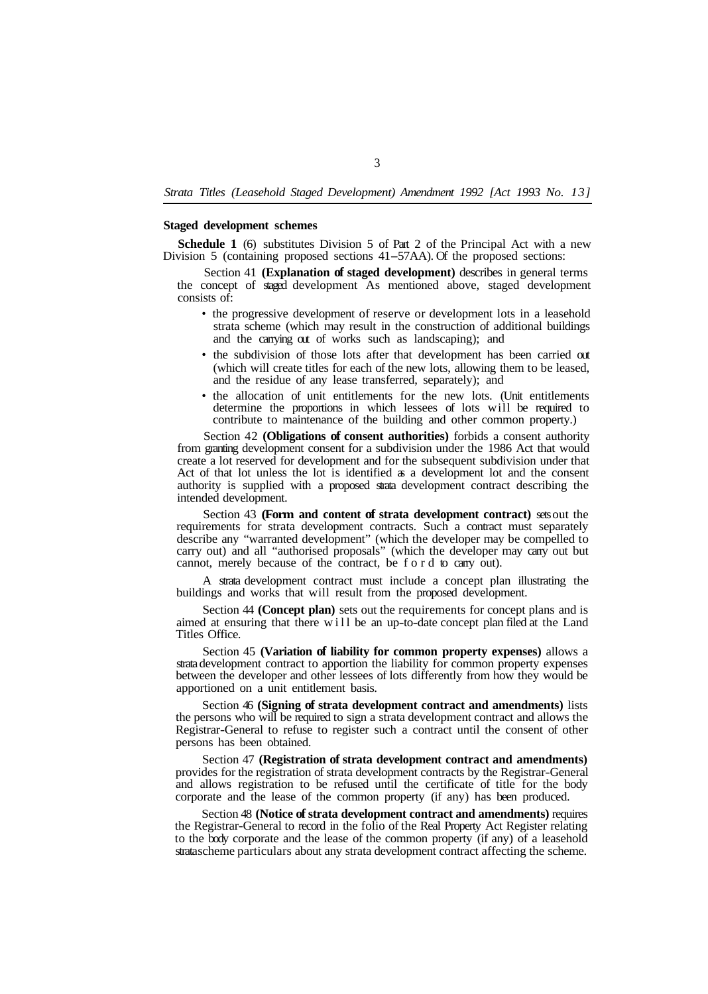## **Staged development schemes**

**Schedule 1** (6) substitutes Division 5 of Part 2 of the Principal Act with a new Division 5 (containing proposed sections 41-57AA). Of the proposed sections:

Section 41 **(Explanation of staged development)** describes in general terms the concept of staged development As mentioned above, staged development consists of:

- the progressive development of reserve or development lots in a leasehold strata scheme (which may result in the construction of additional buildings and the carrying out of works such as landscaping); and
- the subdivision of those lots after that development has been carried out (which will create titles for each of the new lots, allowing them to be leased, and the residue of any lease transferred, separately); and
- the allocation of unit entitlements for the new lots. (Unit entitlements determine the proportions in which lessees of lots will be required to contribute to maintenance of the building and other common property.)

Section 42 **(Obligations of consent authorities)** forbids a consent authority from granting development consent for a subdivision under the 1986 Act that would create a lot reserved for development and for the subsequent subdivision under that Act of that lot unless the lot is identified as a development lot and the consent authority is supplied with a proposed strata development contract describing the intended development.

Section 43 **(Form and content of strata development contract)** sets out the requirements for strata development contracts. Such a contract must separately describe any "warranted development" (which the developer may be compelled to carry out) and all "authorised proposals" (which the developer may cany out but cannot, merely because of the contract, be ford to carry out).

A strata development contract must include a concept plan illustrating the buildings and works that will result from the proposed development.

Section 44 **(Concept plan)** sets out the requirements for concept plans and is aimed at ensuring that there will be an up-to-date concept plan filed at the Land Titles Office.

Section 45 **(Variation of liability for common property expenses)** allows a strata development contract to apportion the liability for common property expenses between the developer and other lessees of lots differently from how they would be apportioned on a unit entitlement basis.

Section 46 **(Signing of strata development contract and amendments)** lists the persons who will be required to sign a strata development contract and allows the Registrar-General to refuse to register such a contract until the consent of other persons has been obtained.

Section 47 **(Registration of strata development contract and amendments)**  provides for the registration of strata development contracts by the Registrar-General and allows registration to be refused until the certificate of title for the body corporate and the lease of the common property (if any) has been produced.

Section 48 **(Notice of strata development contract and amendments)** requires the Registrar-General to record in the folio of the Real Property Act Register relating to the body corporate and the lease of the common property (if any) of a leasehold strata scheme particulars about any strata development contract affecting the scheme.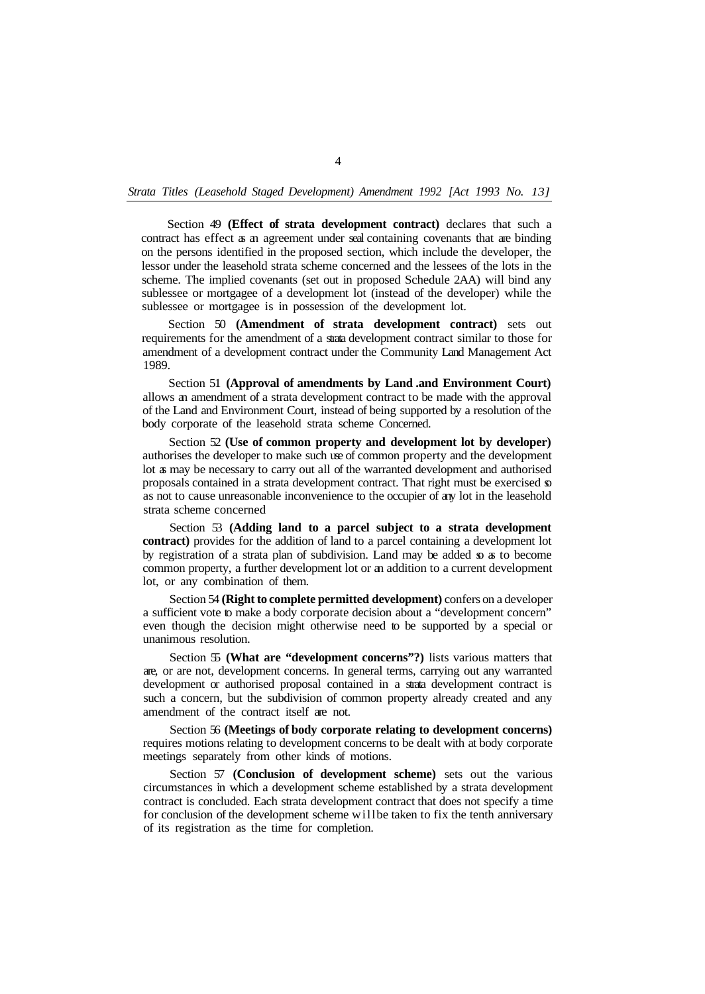Section 49 **(Effect of strata development contract)** declares that such a contract has effect as an agreement under seal containing covenants that are binding on the persons identified in the proposed section, which include the developer, the lessor under the leasehold strata scheme concerned and the lessees of the lots in the scheme. The implied covenants (set out in proposed Schedule 2AA) will bind any sublessee or mortgagee of a development lot (instead of the developer) while the sublessee or mortgagee is in possession of the development lot.

Section 50 **(Amendment of strata development contract)** sets out requirements for the amendment of a strata development contract similar to those for amendment of a development contract under the Community Land Management Act 1989.

Section 51 **(Approval of amendments by Land .and Environment Court)**  allows an amendment of a strata development contract to be made with the approval of the Land and Environment Court, instead of being supported by a resolution of the body corporate of the leasehold strata scheme Concerned.

Section 52 **(Use of common property and development lot by developer)**  authorises the developer to make such use of common property and the development lot as may be necessary to carry out all of the warranted development and authorised proposals contained in a strata development contract. That right must be exercised so as not to cause unreasonable inconvenience to the occupier of any lot in the leasehold strata scheme concerned

Section 53 **(Adding land to a parcel subject to a strata development contract)** provides for the addition of land to a parcel containing a development lot by registration of a strata plan of subdivision. Land may be added so as to become common property, a further development lot or an addition to a current development lot, or any combination of them.

Section 54 **(Right to complete permitted development)** confers on a developer a sufficient vote to make a body corporate decision about a "development concern" even though the decision might otherwise need to be supported by a special or unanimous resolution.

Section 55 **(What are "development concerns"?)** lists various matters that are, or are not, development concerns. In general terms, carrying out any warranted development or authorised proposal contained in a strata development contract is such a concern, but the subdivision of common property already created and any amendment of the contract itself are not.

Section 56 **(Meetings of body corporate relating to development concerns)**  requires motions relating to development concerns to be dealt with at body corporate meetings separately from other kinds of motions.

Section 57 **(Conclusion of development scheme)** sets out the various circumstances in which a development scheme established by a strata development contract is concluded. Each strata development contract that does not specify a time for conclusion of the development scheme will be taken to fix the tenth anniversary of its registration as the time for completion.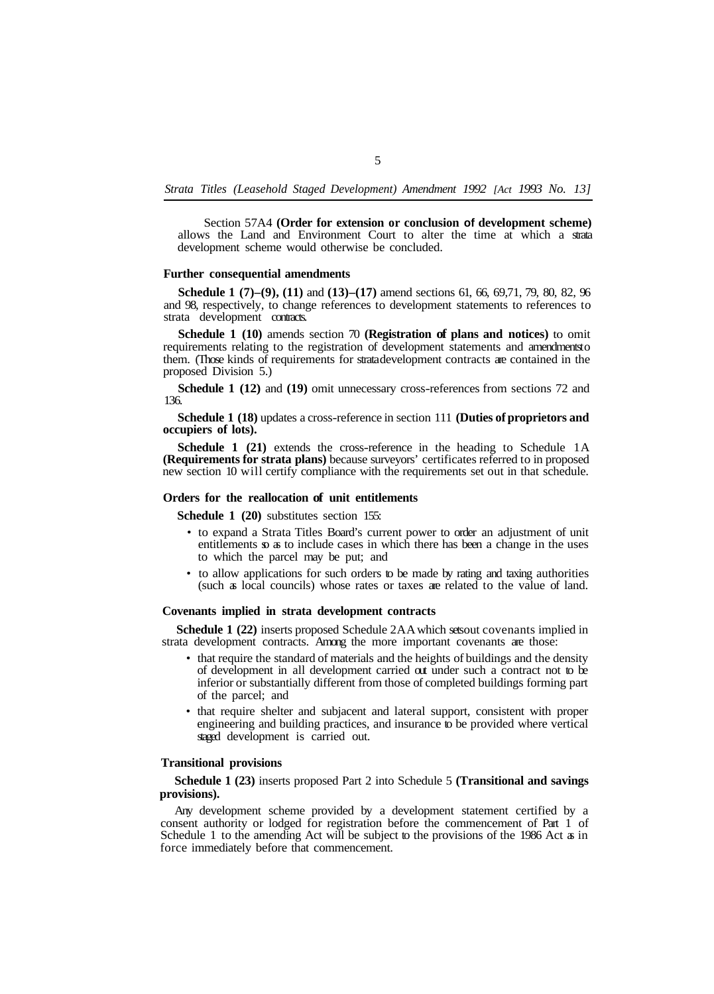Section 57A4 **(Order for extension or conclusion of development scheme)**  allows the Land and Environment Court to alter the time at which a strata development scheme would otherwise be concluded.

### **Further consequential amendments**

**Schedule 1** (7)–(9), (11) and (13)–(17) amend sections 61, 66, 69, 71, 79, 80, 82, 96 and 98, respectively, to change references to development statements to references to strata development contracts.

**Schedule 1 (10)** amends section 70 **(Registration of plans and notices)** to omit requirements relating to the registration of development statements and amendments to them. (Those kinds of requirements for strata development contracts are contained in the proposed Division 5.)

**Schedule 1 (12)** and **(19)** omit unnecessary cross-references from sections 72 and 136.

**Schedule 1 (18)** updates a cross-reference in section 111 **(Duties of proprietors and occupiers of lots).** 

**Schedule 1 (21)** extends the cross-reference in the heading to Schedule 1A **(Requirements for strata plans)** because surveyors' certificates referred to in proposed new section 10 will certify compliance with the requirements set out in that schedule.

## **Orders for the reallocation of unit entitlements**

**Schedule 1 (20)** substitutes section 155:

- to expand a Strata Titles Board's current power to order an adjustment of unit entitlements  $\infty$  as to include cases in which there has been a change in the uses to which the parcel may be put; and
- to allow applications for such orders to be made by rating and taxing authorities (such as local councils) whose rates or taxes are related to the value of land.

#### **Covenants implied in strata development contracts**

**Schedule 1 (22)** inserts proposed Schedule 2AA which sets out covenants implied in strata development contracts. Among the more important covenants are those:

- that require the standard of materials and the heights of buildings and the density of development in all development carried out under such a contract not to be inferior or substantially different from those of completed buildings forming part of the parcel; and
- that require shelter and subjacent and lateral support, consistent with proper engineering and building practices, and insurance to be provided where vertical staged development is carried out.

# **Transitional provisions**

**Schedule 1 (23)** inserts proposed Part 2 into Schedule 5 **(Transitional and savings provisions).** 

Any development scheme provided by a development statement certified by a consent authority or lodged for registration before the commencement of Part 1 of Schedule 1 to the amending Act will be subject to the provisions of the 1986 Act as in force immediately before that commencement.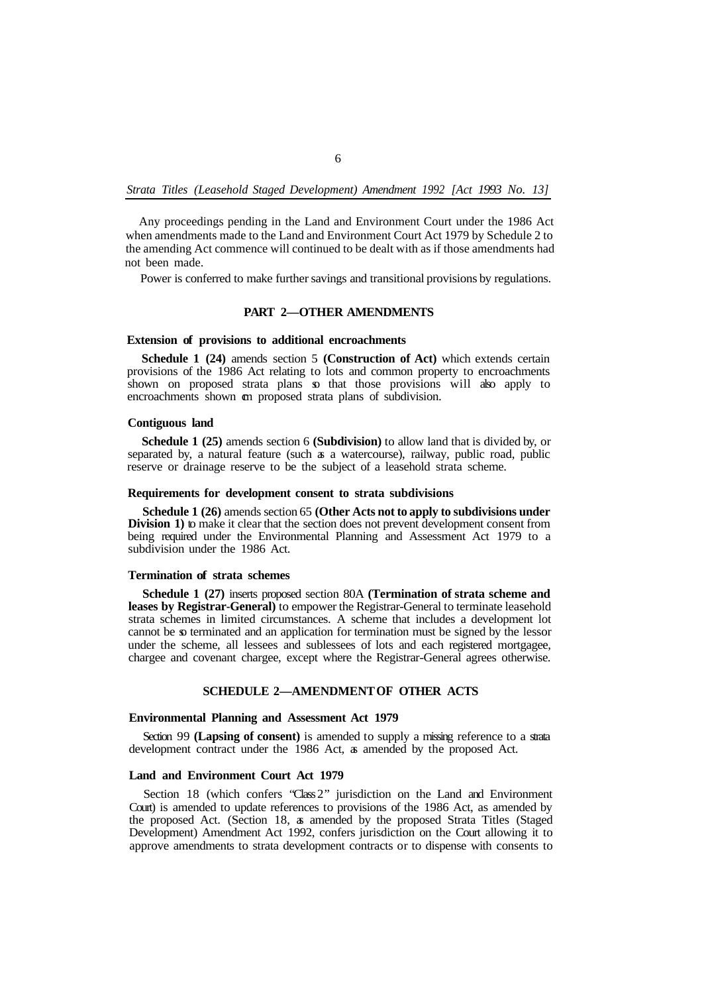*Strata Titles (Leasehold Staged Development) Amendment 1992 [Act 1993 No. 13]* 

Any proceedings pending in the Land and Environment Court under the 1986 Act when amendments made to the Land and Environment Court Act 1979 by Schedule 2 to the amending Act commence will continued to be dealt with as if those amendments had not been made.

Power is conferred to make further savings and transitional provisions by regulations.

# **PART 2—OTHER AMENDMENTS**

# **Extension of provisions to additional encroachments**

**Schedule 1 (24)** amends section 5 **(Construction of Act)** which extends certain provisions of the 1986 Act relating to lots and common property to encroachments shown on proposed strata plans so that those provisions will also apply to encroachments shown **cm** proposed strata plans of subdivision.

### **Contiguous land**

**Schedule 1 (25)** amends section 6 **(Subdivision)** to allow land that is divided by, or separated by, a natural feature (such as a watercourse), railway, public road, public reserve or drainage reserve to be the subject of a leasehold strata scheme.

### **Requirements for development consent to strata subdivisions**

**Schedule 1 (26)** amends section 65 **(Other Acts not to apply to subdivisions under Division 1)** to make it clear that the section does not prevent development consent from being required under the Environmental Planning and Assessment Act 1979 to a subdivision under the 1986 Act.

## **Termination of strata schemes**

**Schedule 1 (27)** inserts proposed section 80A **(Termination of strata scheme and leases by Registrar-General)** to empower the Registrar-General to terminate leasehold strata schemes in limited circumstances. A scheme that includes a development lot cannot be so terminated and an application for termination must be signed by the lessor under the scheme, all lessees and sublessees of lots and each registered mortgagee, chargee and covenant chargee, except where the Registrar-General agrees otherwise.

# **SCHEDULE 2—AMENDMENT OF OTHER ACTS**

### **Environmental Planning and Assessment Act 1979**

Section 99 **(Lapsing of consent)** is amended to supply a missing reference to a strata development contract under the 1986 Act, as amended by the proposed Act.

# **Land and Environment Court Act 1979**

Section 18 (which confers "Class 2" jurisdiction on the Land and Environment Court) is amended to update references to provisions of the 1986 Act, as amended by the proposed Act. (Section 18, as amended by the proposed Strata Titles (Staged Development) Amendment Act 1992, confers jurisdiction on the Court allowing it to approve amendments to strata development contracts or to dispense with consents to